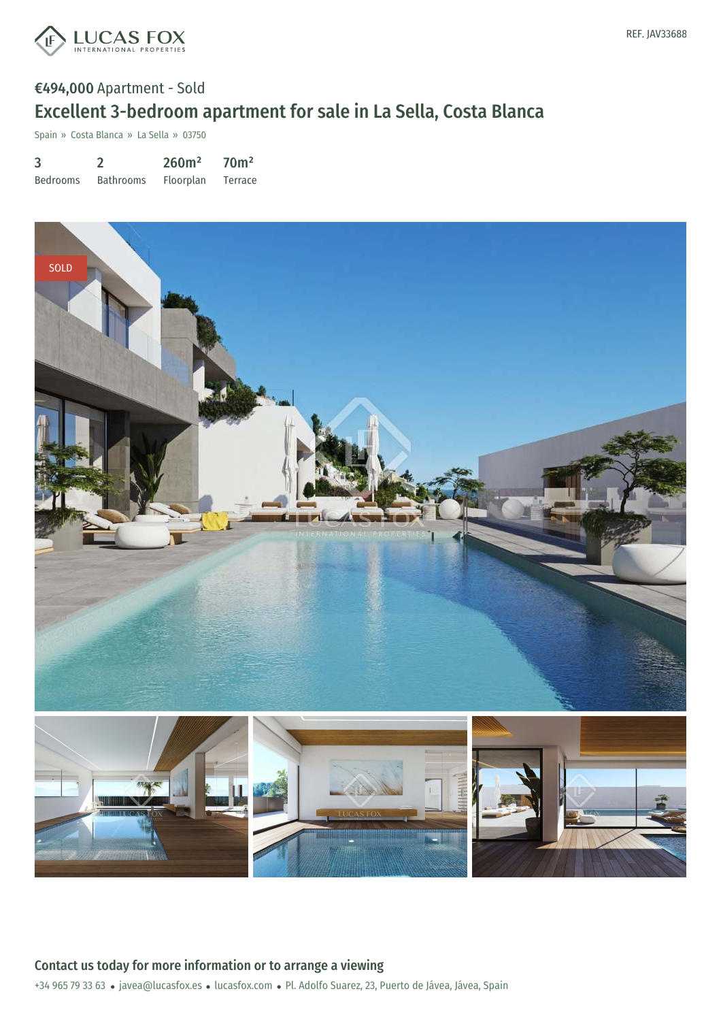

# €494,000 Apartment - Sold Excellent 3-bedroom apartment for sale in La Sella, Costa Blanca

Spain » Costa Blanca » La Sella » 03750

| 3               |                  | 260m <sup>2</sup> | 70 <sup>m²</sup> |
|-----------------|------------------|-------------------|------------------|
| <b>Bedrooms</b> | <b>Bathrooms</b> | Floorplan         | Terrace          |

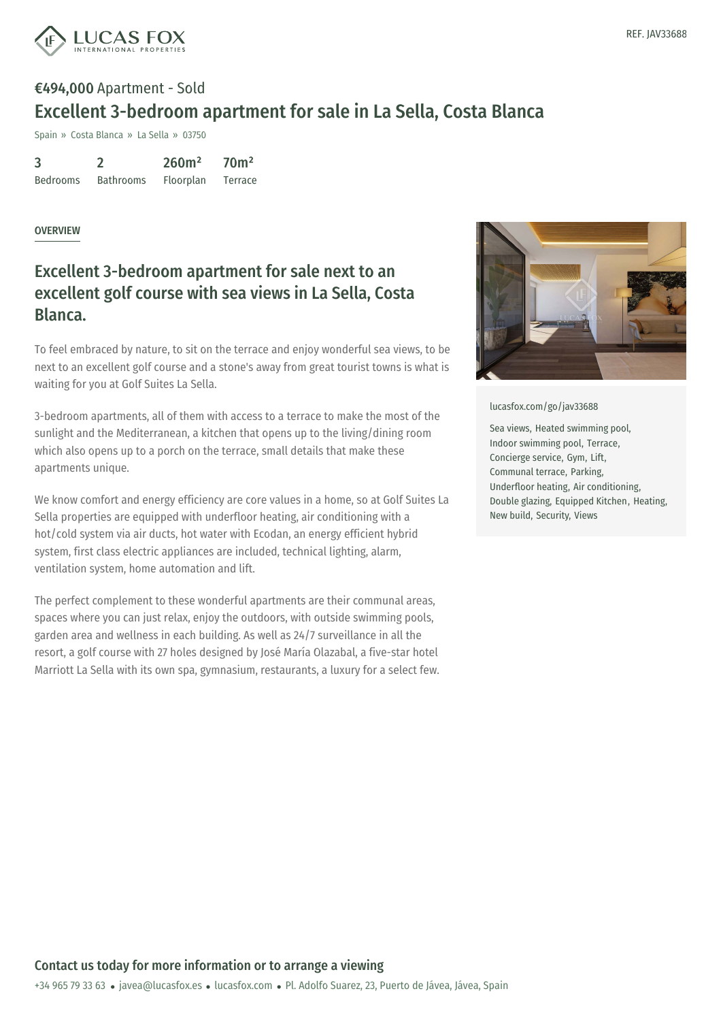

# €494,000 Apartment - Sold Excellent 3-bedroom apartment for sale in La Sella, Costa Blanca

Spain » Costa Blanca » La Sella » 03750

| 3               |                  | 260m <sup>2</sup> | 70 <sup>m²</sup> |
|-----------------|------------------|-------------------|------------------|
| <b>Bedrooms</b> | <b>Bathrooms</b> | Floorplan         | Terrace          |

#### **OVERVIEW**

### Excellent 3-bedroom apartment for sale next to an excellent golf course with sea views in La Sella, Costa Blanca.

To feel embraced by nature, to sit on the terrace and enjoy wonderful sea views, to be next to an excellent golf course and a stone's away from great tourist towns is what is waiting for you at Golf Suites La Sella.

3-bedroom apartments, all of them with access to a terrace to make the most of the sunlight and the Mediterranean, a kitchen that opens up to the living/dining room which also opens up to a porch on the terrace, small details that make these apartments unique.

We know comfort and energy efficiency are core values in a home, so at Golf Suites La Sella properties are equipped with underfloor heating, air conditioning with a hot/cold system via air ducts, hot water with Ecodan, an energy efficient hybrid system, first class electric appliances are included, technical lighting, alarm, ventilation system, home automation and lift.

The perfect complement to these wonderful apartments are their communal areas, spaces where you can just relax, enjoy the outdoors, with outside swimming pools, garden area and wellness in each building. As well as 24/7 surveillance in all the resort, a golf course with 27 holes designed by José María Olazabal, a five-star hotel Marriott La Sella with its own spa, gymnasium, restaurants, a luxury for a select few.



[lucasfox.com/go/jav33688](https://www.lucasfox.com/go/jav33688)

Sea views, Heated swimming pool, Indoor swimming pool, Terrace, Concierge service, Gym, Lift, Communal terrace, Parking, Underfloor heating, Air conditioning, Double glazing, Equipped Kitchen, Heating, New build, Security, Views